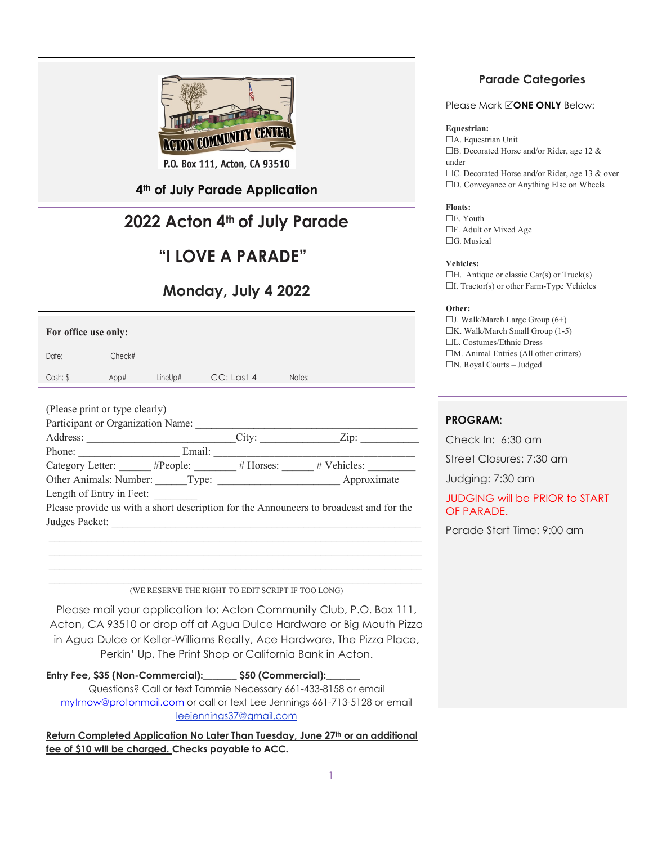

P.O. Box 111, Acton, CA 93510

### **4th of July Parade Application**

## **2022 Acton 4th of July Parade**

### **"I LOVE A PARADE"**

### **Monday, July 4 2022**

|  | For office use only: |  |  |
|--|----------------------|--|--|
|--|----------------------|--|--|

Date: \_\_\_\_\_\_\_\_\_\_\_\_\_\_\_\_\_Check#

Cash: \$ \_\_\_\_\_\_\_\_\_ App# \_\_\_\_\_\_\_ LineUp# \_\_\_\_\_\_ CC: Last 4 \_\_\_\_\_\_\_ Notes:

| (Please print or type clearly)                  |        |       |                                                                                        |
|-------------------------------------------------|--------|-------|----------------------------------------------------------------------------------------|
| Participant or Organization Name:               |        |       |                                                                                        |
| Address:                                        |        | City: | Zip:                                                                                   |
| Phone:                                          | Email: |       |                                                                                        |
| Category Letter: #People: # Horses: # Vehicles: |        |       |                                                                                        |
| Other Animals: Number: Type:                    |        |       | Approximate                                                                            |
| Length of Entry in Feet:                        |        |       |                                                                                        |
|                                                 |        |       | Please provide us with a short description for the Announcers to broadcast and for the |
| Judges Packet:                                  |        |       |                                                                                        |
|                                                 |        |       |                                                                                        |

(WE RESERVE THE RIGHT TO EDIT SCRIPT IF TOO LONG)

 $\mathcal{L}_\mathcal{L} = \mathcal{L}_\mathcal{L} = \mathcal{L}_\mathcal{L} = \mathcal{L}_\mathcal{L} = \mathcal{L}_\mathcal{L} = \mathcal{L}_\mathcal{L} = \mathcal{L}_\mathcal{L} = \mathcal{L}_\mathcal{L} = \mathcal{L}_\mathcal{L} = \mathcal{L}_\mathcal{L} = \mathcal{L}_\mathcal{L} = \mathcal{L}_\mathcal{L} = \mathcal{L}_\mathcal{L} = \mathcal{L}_\mathcal{L} = \mathcal{L}_\mathcal{L} = \mathcal{L}_\mathcal{L} = \mathcal{L}_\mathcal{L}$  $\mathcal{L}_\mathcal{L} = \mathcal{L}_\mathcal{L} = \mathcal{L}_\mathcal{L} = \mathcal{L}_\mathcal{L} = \mathcal{L}_\mathcal{L} = \mathcal{L}_\mathcal{L} = \mathcal{L}_\mathcal{L} = \mathcal{L}_\mathcal{L} = \mathcal{L}_\mathcal{L} = \mathcal{L}_\mathcal{L} = \mathcal{L}_\mathcal{L} = \mathcal{L}_\mathcal{L} = \mathcal{L}_\mathcal{L} = \mathcal{L}_\mathcal{L} = \mathcal{L}_\mathcal{L} = \mathcal{L}_\mathcal{L} = \mathcal{L}_\mathcal{L}$ 

Please mail your application to: Acton Community Club, P.O. Box 111, Acton, CA 93510 or drop off at Agua Dulce Hardware or Big Mouth Pizza in Agua Dulce or Keller-Williams Realty, Ace Hardware, The Pizza Place, Perkin' Up, The Print Shop or California Bank in Acton.

**Entry Fee, \$35 (Non-Commercial):\_\_\_\_\_\_\_ \$50 (Commercial):\_\_\_\_\_\_\_** Questions? Call or text Tammie Necessary 661-433-8158 or email [mytrnow@protonmail.com](mailto:mytrnow@protonmail.com) or call or text Lee Jennings 661-713-5128 or email leejennings37@gmail.com

**Return Completed Application No Later Than Tuesday, June 27th or an additional fee of \$10 will be charged. Checks payable to ACC.**

### **Parade Categories**

#### Please Mark **ONE ONLY** Below:

#### **Equestrian:**

A. Equestrian Unit B. Decorated Horse and/or Rider, age 12 & under □C. Decorated Horse and/or Rider, age 13 & over □D. Conveyance or Anything Else on Wheels

**Floats:** E. Youth

F. Adult or Mixed Age □G. Musical

#### **Vehicles:**

 $\Box$ H. Antique or classic Car(s) or Truck(s) I. Tractor(s) or other Farm-Type Vehicles

#### **Other:**

 $\Box$ J. Walk/March Large Group (6+)  $\Box K$ . Walk/March Small Group (1-5) L. Costumes/Ethnic Dress  $\Box$ M. Animal Entries (All other critters) N. Royal Courts – Judged

#### **PROGRAM:**

Check In: 6:30 am

Street Closures: 7:30 am

Judging: 7:30 am

JUDGING will be PRIOR to START OF PARADE.

Parade Start Time: 9:00 am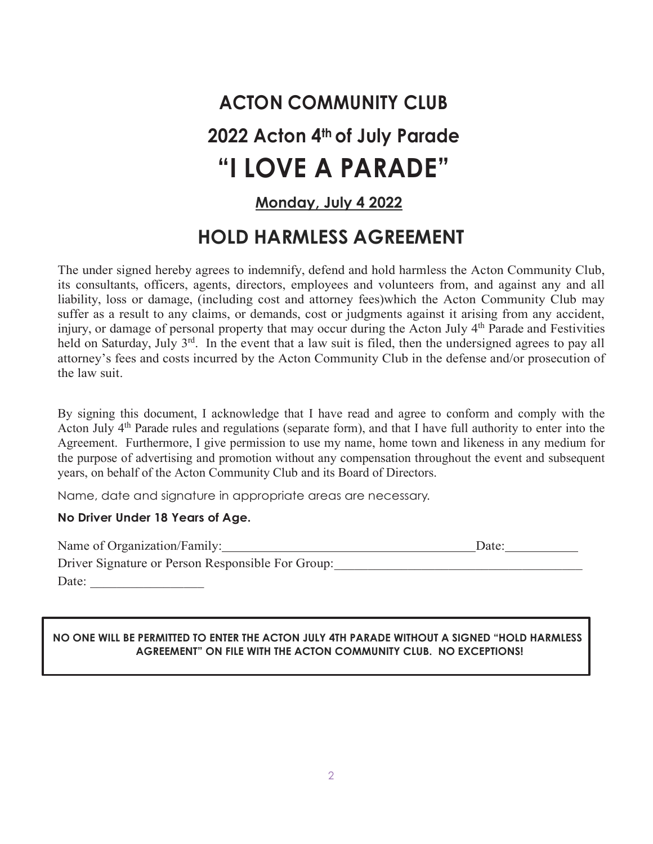# **ACTON COMMUNITY CLUB 2022 Acton 4th of July Parade "I LOVE A PARADE"**

### **Monday, July 4 2022**

# **HOLD HARMLESS AGREEMENT**

The under signed hereby agrees to indemnify, defend and hold harmless the Acton Community Club, its consultants, officers, agents, directors, employees and volunteers from, and against any and all liability, loss or damage, (including cost and attorney fees)which the Acton Community Club may suffer as a result to any claims, or demands, cost or judgments against it arising from any accident, injury, or damage of personal property that may occur during the Acton July 4<sup>th</sup> Parade and Festivities held on Saturday, July 3<sup>rd</sup>. In the event that a law suit is filed, then the undersigned agrees to pay all attorney's fees and costs incurred by the Acton Community Club in the defense and/or prosecution of the law suit.

By signing this document, I acknowledge that I have read and agree to conform and comply with the Acton July 4<sup>th</sup> Parade rules and regulations (separate form), and that I have full authority to enter into the Agreement. Furthermore, I give permission to use my name, home town and likeness in any medium for the purpose of advertising and promotion without any compensation throughout the event and subsequent years, on behalf of the Acton Community Club and its Board of Directors.

Name, date and signature in appropriate areas are necessary.

#### **No Driver Under 18 Years of Age.**

| Name of Organization/Family:                      | Date: |
|---------------------------------------------------|-------|
| Driver Signature or Person Responsible For Group: |       |
| Date:                                             |       |

### **NO ONE WILL BE PERMITTED TO ENTER THE ACTON JULY 4TH PARADE WITHOUT A SIGNED "HOLD HARMLESS AGREEMENT" ON FILE WITH THE ACTON COMMUNITY CLUB. NO EXCEPTIONS!**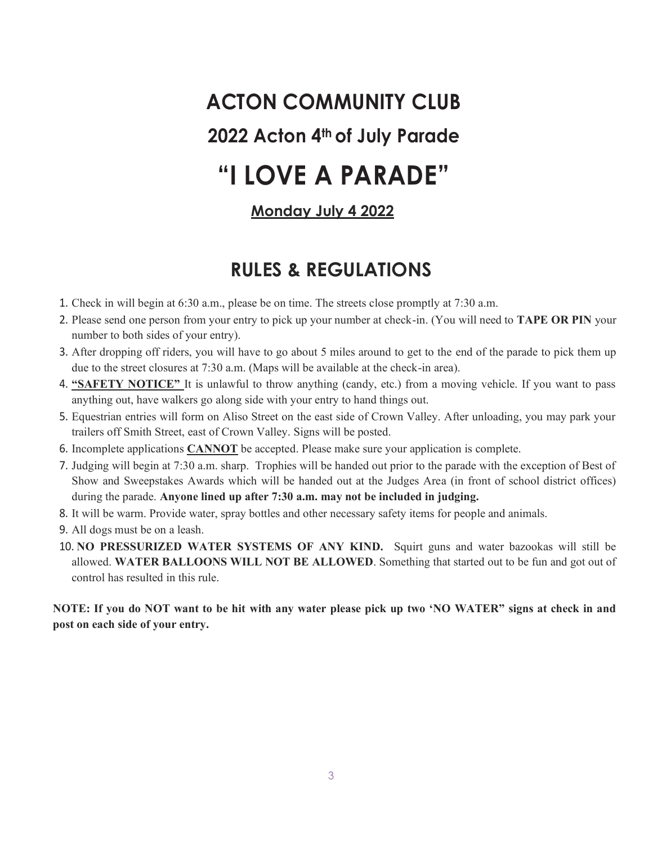# **ACTON COMMUNITY CLUB 2022 Acton 4th of July Parade "I LOVE A PARADE"**

### **Monday July 4 2022**

## **RULES & REGULATIONS**

- 1. Check in will begin at 6:30 a.m., please be on time. The streets close promptly at 7:30 a.m.
- 2. Please send one person from your entry to pick up your number at check-in. (You will need to **TAPE OR PIN** your number to both sides of your entry).
- 3. After dropping off riders, you will have to go about 5 miles around to get to the end of the parade to pick them up due to the street closures at 7:30 a.m. (Maps will be available at the check-in area).
- 4. **"SAFETY NOTICE"** It is unlawful to throw anything (candy, etc.) from a moving vehicle. If you want to pass anything out, have walkers go along side with your entry to hand things out.
- 5. Equestrian entries will form on Aliso Street on the east side of Crown Valley. After unloading, you may park your trailers off Smith Street, east of Crown Valley. Signs will be posted.
- 6. Incomplete applications **CANNOT** be accepted. Please make sure your application is complete.
- 7. Judging will begin at 7:30 a.m. sharp. Trophies will be handed out prior to the parade with the exception of Best of Show and Sweepstakes Awards which will be handed out at the Judges Area (in front of school district offices) during the parade. **Anyone lined up after 7:30 a.m. may not be included in judging.**
- 8. It will be warm. Provide water, spray bottles and other necessary safety items for people and animals.
- 9. All dogs must be on a leash.
- 10. **NO PRESSURIZED WATER SYSTEMS OF ANY KIND.** Squirt guns and water bazookas will still be allowed. **WATER BALLOONS WILL NOT BE ALLOWED**. Something that started out to be fun and got out of control has resulted in this rule.

**NOTE: If you do NOT want to be hit with any water please pick up two 'NO WATER" signs at check in and post on each side of your entry.**